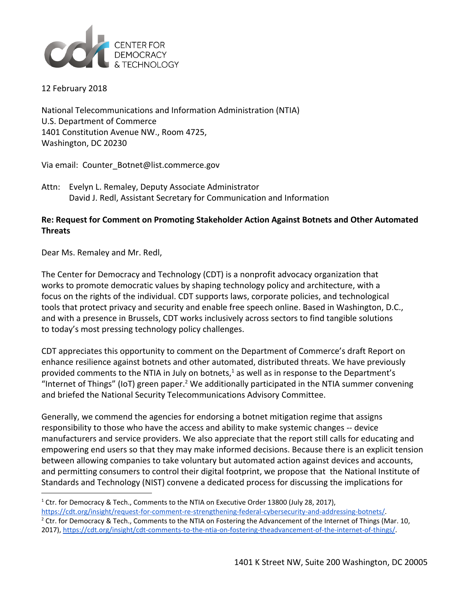

12 February 2018

National Telecommunications and Information Administration (NTIA) U.S. Department of Commerce 1401 Constitution Avenue NW., Room 4725, Washington, DC 20230

Via email: Counter\_Botnet@list.commerce.gov

Attn: Evelyn L. Remaley, Deputy Associate Administrator David J. Redl, Assistant Secretary for Communication and Information

## **Re: Request for Comment on Promoting Stakeholder Action Against Botnets and Other Automated Threats**

Dear Ms. Remaley and Mr. Redl,

The Center for Democracy and Technology (CDT) is a nonprofit advocacy organization that works to promote democratic values by shaping technology policy and architecture, with a focus on the rights of the individual. CDT supports laws, corporate policies, and technological tools that protect privacy and security and enable free speech online. Based in Washington, D.C., and with a presence in Brussels, CDT works inclusively across sectors to find tangible solutions to today's most pressing technology policy challenges.

CDT appreciates this opportunity to comment on the Department of Commerce's draft Report on enhance resilience against botnets and other automated, distributed threats. We have previously provided comments to the NTIA in July on botnets, $<sup>1</sup>$  as well as in response to the Department's</sup> "Internet of Things" (IoT) green paper.<sup>2</sup> We additionally participated in the NTIA summer convening and briefed the National Security Telecommunications Advisory Committee.

Generally, we commend the agencies for endorsing a botnet mitigation regime that assigns responsibility to those who have the access and ability to make systemic changes -- device manufacturers and service providers. We also appreciate that the report still calls for educating and empowering end users so that they may make informed decisions. Because there is an explicit tension between allowing companies to take voluntary but automated action against devices and accounts, and permitting consumers to control their digital footprint, we propose that the National Institute of Standards and Technology (NIST) convene a dedicated process for discussing the implications for

<sup>&</sup>lt;sup>1</sup> Ctr. for Democracy & Tech., Comments to the NTIA on Executive Order 13800 (July 28, 2017), [https://cdt.org/insight/request-for-comment-re-strengthening-federal-cybersecurity-and-addressing-botnets/.](https://cdt.org/insight/request-for-comment-re-strengthening-federal-cybersecurity-and-addressing-botnets/)

<sup>&</sup>lt;sup>2</sup> Ctr. for Democracy & Tech., Comments to the NTIA on Fostering the Advancement of the Internet of Things (Mar. 10, 2017), <https://cdt.org/insight/cdt-comments-to-the-ntia-on-fostering-theadvancement-of-the-internet-of-things/>.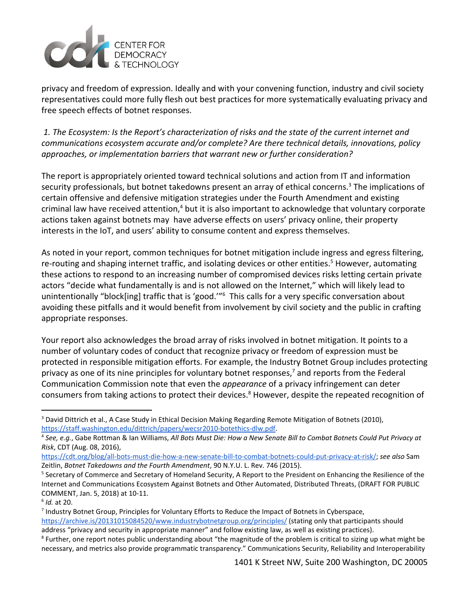

privacy and freedom of expression. Ideally and with your convening function, industry and civil society representatives could more fully flesh out best practices for more systematically evaluating privacy and free speech effects of botnet responses.

 *1. The Ecosystem: Is the Report's characterization of risks and the state of the current internet and communications ecosystem accurate and/or complete? Are there technical details, innovations, policy approaches, or implementation barriers that warrant new or further consideration?*

The report is appropriately oriented toward technical solutions and action from IT and information security professionals, but botnet takedowns present an array of ethical concerns.<sup>3</sup> The implications of certain offensive and defensive mitigation strategies under the Fourth Amendment and existing criminal law have received attention, $4$  but it is also important to acknowledge that voluntary corporate actions taken against botnets may have adverse effects on users' privacy online, their property interests in the IoT, and users' ability to consume content and express themselves.

As noted in your report, common techniques for botnet mitigation include ingress and egress filtering, re-routing and shaping internet traffic, and isolating devices or other entities.<sup>5</sup> However, automating these actions to respond to an increasing number of compromised devices risks letting certain private actors "decide what fundamentally is and is not allowed on the Internet," which will likely lead to unintentionally "block[ing] traffic that is 'good."<sup>6</sup> This calls for a very specific conversation about avoiding these pitfalls and it would benefit from involvement by civil society and the public in crafting appropriate responses.

Your report also acknowledges the broad array of risks involved in botnet mitigation. It points to a number of voluntary codes of conduct that recognize privacy or freedom of expression must be protected in responsible mitigation efforts. For example, the Industry Botnet Group includes protecting privacy as one of its nine principles for voluntary botnet responses, $<sup>7</sup>$  and reports from the Federal</sup> Communication Commission note that even the *appearance* of a privacy infringement can deter consumers from taking actions to protect their devices.<sup>8</sup> However, despite the repeated recognition of

<sup>&</sup>lt;sup>3</sup> David Dittrich et al., A Case Study in Ethical Decision Making Regarding Remote Mitigation of Botnets (2010), [https://staff.washington.edu/dittrich/papers/wecsr2010-botethics-dlw.pdf.](https://staff.washington.edu/dittrich/papers/wecsr2010-botethics-dlw.pdf)

<sup>&</sup>lt;sup>4</sup> See, e.g., Gabe Rottman & Ian Williams, All Bots Must Die: How a New Senate Bill to Combat Botnets Could Put Privacy at *Risk*, CDT (Aug. 08, 2016),

<https://cdt.org/blog/all-bots-must-die-how-a-new-senate-bill-to-combat-botnets-could-put-privacy-at-risk/>; *see also* Sam Zeitlin, *Botnet Takedowns and the Fourth Amendment*, 90 N.Y.U. L. Rev. 746 (2015).

<sup>5</sup> Secretary of Commerce and Secretary of Homeland Security, A Report to the President on Enhancing the Resilience of the Internet and Communications Ecosystem Against Botnets and Other Automated, Distributed Threats, (DRAFT FOR PUBLIC COMMENT, Jan. 5, 2018) at 10-11.

<sup>6</sup> *Id.* at 20.

<sup>7</sup> Industry Botnet Group, Principles for Voluntary Efforts to Reduce the Impact of Botnets in Cyberspace, <https://archive.is/20131015084520/www.industrybotnetgroup.org/principles/> (stating only that participants should address "privacy and security in appropriate manner" and follow existing law, as well as existing practices).

<sup>&</sup>lt;sup>8</sup> Further, one report notes public understanding about "the magnitude of the problem is critical to sizing up what might be necessary, and metrics also provide programmatic transparency." Communications Security, Reliability and Interoperability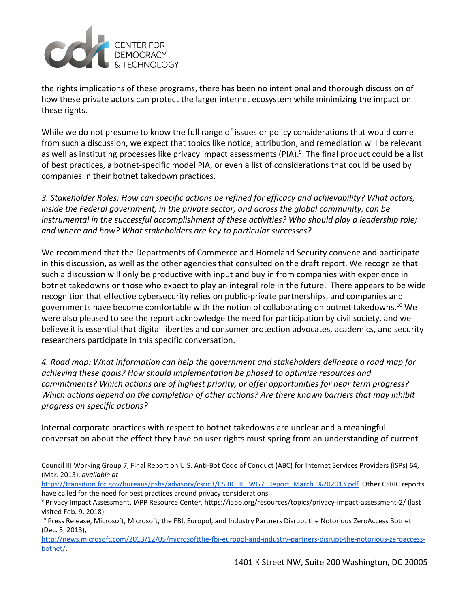

the rights implications of these programs, there has been no intentional and thorough discussion of how these private actors can protect the larger internet ecosystem while minimizing the impact on these rights.

While we do not presume to know the full range of issues or policy considerations that would come from such a discussion, we expect that topics like notice, attribution, and remediation will be relevant as well as instituting processes like privacy impact assessments (PIA). $9$  The final product could be a list of best practices, a botnet-specific model PIA, or even a list of considerations that could be used by companies in their botnet takedown practices.

*3. Stakeholder Roles: How can specific actions be refined for efficacy and achievability? What actors, inside the Federal government, in the private sector, and across the global community, can be instrumental in the successful accomplishment of these activities? Who should play a leadership role; and where and how? What stakeholders are key to particular successes?*

We recommend that the Departments of Commerce and Homeland Security convene and participate in this discussion, as well as the other agencies that consulted on the draft report. We recognize that such a discussion will only be productive with input and buy in from companies with experience in botnet takedowns or those who expect to play an integral role in the future. There appears to be wide recognition that effective cybersecurity relies on public-private partnerships, and companies and governments have become comfortable with the notion of collaborating on botnet takedowns.<sup>10</sup> We were also pleased to see the report acknowledge the need for participation by civil society, and we believe it is essential that digital liberties and consumer protection advocates, academics, and security researchers participate in this specific conversation.

*4. Road map: What information can help the government and stakeholders delineate a road map for achieving these goals? How should implementation be phased to optimize resources and commitments? Which actions are of highest priority, or offer opportunities for near term progress? Which actions depend on the completion of other actions? Are there known barriers that may inhibit progress on specific actions?*

Internal corporate practices with respect to botnet takedowns are unclear and a meaningful conversation about the effect they have on user rights must spring from an understanding of current

Council III Working Group 7, Final Report on U.S. Anti-Bot Code of Conduct (ABC) for Internet Services Providers (ISPs) 64, (Mar. 2013), *available at*

[https://transition.fcc.gov/bureaus/pshs/advisory/csric3/CSRIC\\_III\\_WG7\\_Report\\_March\\_%202013.pdf](https://transition.fcc.gov/bureaus/pshs/advisory/csric3/CSRIC_III_WG7_Report_March_%202013.pdf). Other CSRIC reports have called for the need for best practices around privacy considerations.

<sup>9</sup> Privacy Impact Assessment, IAPP Resource Center, https://iapp.org/resources/topics/privacy-impact-assessment-2/ (last visited Feb. 9, 2018).

<sup>&</sup>lt;sup>10</sup> Press Release, Microsoft, Microsoft, the FBI, Europol, and Industry Partners Disrupt the Notorious ZeroAccess Botnet (Dec. 5, 2013),

[http://news.microsoft.com/2013/12/05/microsoftthe-fbi-europol-and-industry-partners-disrupt-the-notorious-zeroaccess](http://news.microsoft.com/2013/12/05/microsoftthe-fbi-europol-and-industry-partners-disrupt-the-notorious-zeroaccess-botnet/)[botnet/.](http://news.microsoft.com/2013/12/05/microsoftthe-fbi-europol-and-industry-partners-disrupt-the-notorious-zeroaccess-botnet/)